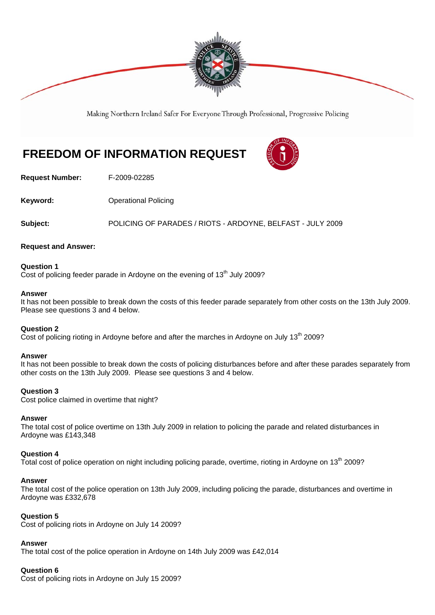

Making Northern Ireland Safer For Everyone Through Professional, Progressive Policing

# **FREEDOM OF INFORMATION REQUEST**



**Request Number:** F-2009-02285

**Keyword: C**Derational Policing

**Subject:** POLICING OF PARADES / RIOTS - ARDOYNE, BELFAST - JULY 2009

## **Request and Answer:**

## **Question 1**

Cost of policing feeder parade in Ardoyne on the evening of  $13<sup>th</sup>$  July 2009?

#### **Answer**

It has not been possible to break down the costs of this feeder parade separately from other costs on the 13th July 2009. Please see questions 3 and 4 below.

## **Question 2**

Cost of policing rioting in Ardoyne before and after the marches in Ardoyne on July  $13<sup>th</sup>$  2009?

#### **Answer**

It has not been possible to break down the costs of policing disturbances before and after these parades separately from other costs on the 13th July 2009. Please see questions 3 and 4 below.

## **Question 3**

Cost police claimed in overtime that night?

#### **Answer**

The total cost of police overtime on 13th July 2009 in relation to policing the parade and related disturbances in Ardoyne was £143,348

## **Question 4**

Total cost of police operation on night including policing parade, overtime, rioting in Ardoyne on 13<sup>th</sup> 2009?

#### **Answer**

The total cost of the police operation on 13th July 2009, including policing the parade, disturbances and overtime in Ardoyne was £332,678

## **Question 5**

Cost of policing riots in Ardoyne on July 14 2009?

## **Answer**

The total cost of the police operation in Ardoyne on 14th July 2009 was £42,014

## **Question 6**

Cost of policing riots in Ardoyne on July 15 2009?